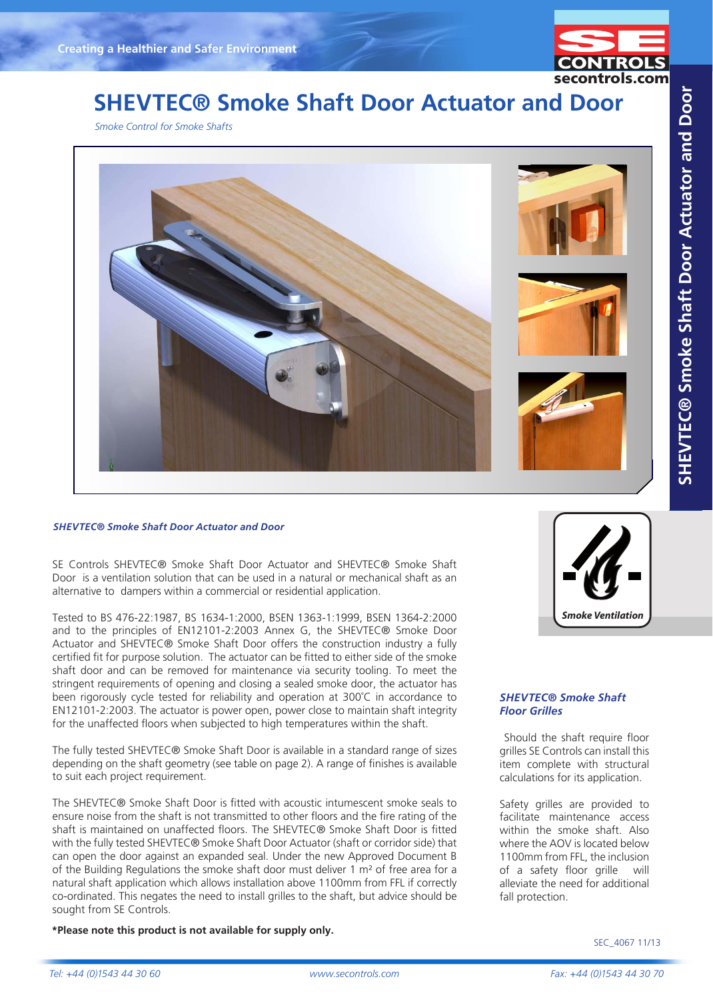

# **SHEVTEC® Smoke Shaft Door Actuator and Door**

*Smoke Control for Smoke Shafts*



#### *SHEVTEC® Smoke Shaft Door Actuator and Door*

SE Controls SHEVTEC® Smoke Shaft Door Actuator and SHEVTEC® Smoke Shaft Door is a ventilation solution that can be used in a natural or mechanical shaft as an alternative to dampers within a commercial or residential application.

Tested to BS 476-22:1987, BS 1634-1:2000, BSEN 1363-1:1999, BSEN 1364-2:2000 and to the principles of EN12101-2:2003 Annex G, the SHEVTEC® Smoke Door Actuator and SHEVTEC® Smoke Shaft Door offers the construction industry a fully certified fit for purpose solution. The actuator can be fitted to either side of the smoke shaft door and can be removed for maintenance via security tooling. To meet the stringent requirements of opening and closing a sealed smoke door, the actuator has been rigorously cycle tested for reliability and operation at 300˚C in accordance to EN12101-2:2003. The actuator is power open, power close to maintain shaft integrity for the unaffected floors when subjected to high temperatures within the shaft.

The fully tested SHEVTEC® Smoke Shaft Door is available in a standard range of sizes depending on the shaft geometry (see table on page 2). A range of finishes is available to suit each project requirement.

The SHEVTEC® Smoke Shaft Door is fitted with acoustic intumescent smoke seals to ensure noise from the shaft is not transmitted to other floors and the fire rating of the shaft is maintained on unaffected floors. The SHEVTEC® Smoke Shaft Door is fitted with the fully tested SHEVTEC® Smoke Shaft Door Actuator (shaft or corridor side) that can open the door against an expanded seal. Under the new Approved Document B of the Building Regulations the smoke shaft door must deliver 1  $m<sup>2</sup>$  of free area for a natural shaft application which allows installation above 1100mm from FFL if correctly co-ordinated. This negates the need to install grilles to the shaft, but advice should be sought from SE Controls.

**\*Please note this product is not available for supply only.** 



#### *SHEVTEC® Smoke Shaft Floor Grilles*

 Should the shaft require floor grilles SE Controls can install this item complete with structural calculations for its application.

Safety grilles are provided to facilitate maintenance access within the smoke shaft. Also where the AOV is located below 1100mm from FFL, the inclusion of a safety floor grille will alleviate the need for additional fall protection.

SEC\_4067 11/13